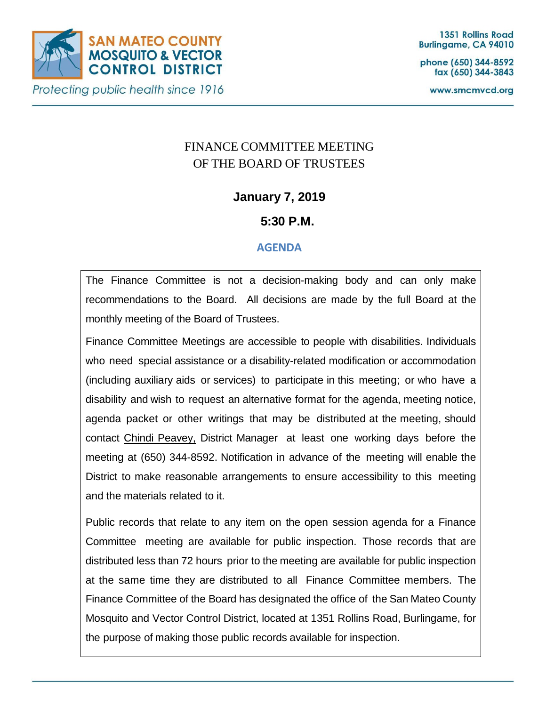

phone (650) 344-8592 fax (650) 344-3843

www.smcmvcd.org

# FINANCE COMMITTEE MEETING OF THE BOARD OF TRUSTEES

## **January 7, 2019**

## **5:30 P.M.**

### **AGENDA**

The Finance Committee is not a decision-making body and can only make recommendations to the Board. All decisions are made by the full Board at the monthly meeting of the Board of Trustees.

Finance Committee Meetings are accessible to people with disabilities. Individuals who need special assistance or a disability-related modification or accommodation (including auxiliary aids or services) to participate in this meeting; or who have a disability and wish to request an alternative format for the agenda, meeting notice, agenda packet or other writings that may be distributed at the meeting, should contact Chindi Peavey, District Manager at least one working days before the meeting at (650) 344-8592. Notification in advance of the meeting will enable the District to make reasonable arrangements to ensure accessibility to this meeting and the materials related to it.

Public records that relate to any item on the open session agenda for a Finance Committee meeting are available for public inspection. Those records that are distributed less than 72 hours prior to the meeting are available for public inspection at the same time they are distributed to all Finance Committee members. The Finance Committee of the Board has designated the office of the San Mateo County Mosquito and Vector Control District, located at 1351 Rollins Road, Burlingame, for the purpose of making those public records available for inspection.